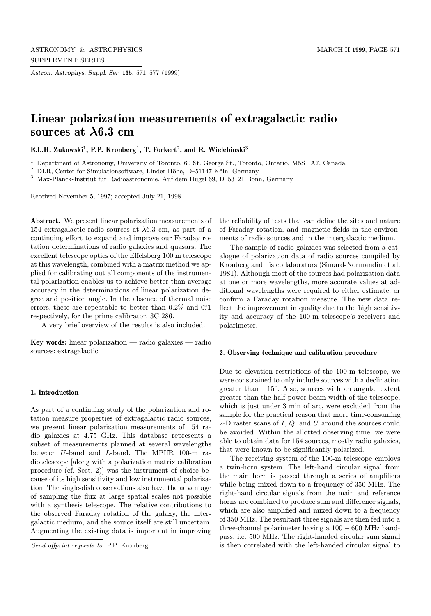Astron. Astrophys. Suppl. Ser. 135, 571–577 (1999)

# Linear polarization measurements of extragalactic radio sources at λ6.3 cm

E.L.H. Zukowski<sup>1</sup>, P.P. Kronberg<sup>1</sup>, T. Forkert<sup>2</sup>, and R. Wielebinski<sup>3</sup>

<sup>1</sup> Department of Astronomy, University of Toronto, 60 St. George St., Toronto, Ontario, M5S 1A7, Canada

 $2$  DLR, Center for Simulationsoftware, Linder Höhe, D–51147 Köln, Germany

 $^3\,$  Max-Planck-Institut für Radioastronomie, Auf dem Hügel 69, D–53121 Bonn, Germany

Received November 5, 1997; accepted July 21, 1998

Abstract. We present linear polarization measurements of 154 extragalactic radio sources at  $\lambda$ 6.3 cm, as part of a continuing effort to expand and improve our Faraday rotation determinations of radio galaxies and quasars. The excellent telescope optics of the Effelsberg 100 m telescope at this wavelength, combined with a matrix method we applied for calibrating out all components of the instrumental polarization enables us to achieve better than average accuracy in the determinations of linear polarization degree and position angle. In the absence of thermal noise errors, these are repeatable to better than  $0.2\%$  and  $0.21$ respectively, for the prime calibrator, 3C 286.

A very brief overview of the results is also included.

Key words: linear polarization — radio galaxies — radio sources: extragalactic

## 1. Introduction

As part of a continuing study of the polarization and rotation measure properties of extragalactic radio sources, we present linear polarization measurements of 154 radio galaxies at 4.75 GHz. This database represents a subset of measurements planned at several wavelengths between U-band and L-band. The MPIfR 100-m radiotelescope [along with a polarization matrix calibration procedure (cf. Sect. 2)] was the instrument of choice because of its high sensitivity and low instrumental polarization. The single-dish observations also have the advantage of sampling the flux at large spatial scales not possible with a synthesis telescope. The relative contributions to the observed Faraday rotation of the galaxy, the intergalactic medium, and the source itself are still uncertain. Augmenting the existing data is important in improving

Send offprint requests to: P.P. Kronberg

the reliability of tests that can define the sites and nature of Faraday rotation, and magnetic fields in the environments of radio sources and in the intergalactic medium.

The sample of radio galaxies was selected from a catalogue of polarization data of radio sources compiled by Kronberg and his collaborators (Simard-Normandin et al. 1981). Although most of the sources had polarization data at one or more wavelengths, more accurate values at additional wavelengths were required to either estimate, or confirm a Faraday rotation measure. The new data reflect the improvement in quality due to the high sensitivity and accuracy of the 100-m telescope's receivers and polarimeter.

#### 2. Observing technique and calibration procedure

Due to elevation restrictions of the 100-m telescope, we were constrained to only include sources with a declination greater than  $-15°$ . Also, sources with an angular extent greater than the half-power beam-width of the telescope, which is just under 3 min of arc, were excluded from the sample for the practical reason that more time-consuming 2-D raster scans of  $I$ ,  $Q$ , and  $U$  around the sources could be avoided. Within the allotted observing time, we were able to obtain data for 154 sources, mostly radio galaxies, that were known to be significantly polarized.

The receiving system of the 100-m telescope employs a twin-horn system. The left-hand circular signal from the main horn is passed through a series of amplifiers while being mixed down to a frequency of 350 MHz. The right-hand circular signals from the main and reference horns are combined to produce sum and difference signals, which are also amplified and mixed down to a frequency of 350 MHz. The resultant three signals are then fed into a three-channel polarimeter having a 100 − 600 MHz bandpass, i.e. 500 MHz. The right-handed circular sum signal is then correlated with the left-handed circular signal to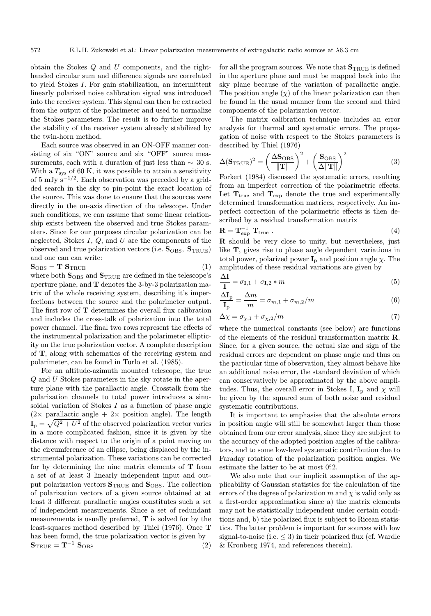obtain the Stokes Q and U components, and the righthanded circular sum and difference signals are correlated to yield Stokes I. For gain stabilization, an intermittent linearly polarized noise calibration signal was introduced into the receiver system. This signal can then be extracted from the output of the polarimeter and used to normalize the Stokes parameters. The result is to further improve the stability of the receiver system already stabilized by the twin-horn method.

Each source was observed in an ON-OFF manner consisting of six "ON" source and six "OFF" source measurements, each with a duration of just less than  $\sim$  30 s. With a  $T_{\rm sys}$  of 60 K, it was possible to attain a sensitivity of 5 mJy  $s^{-1/2}$ . Each observation was preceded by a gridded search in the sky to pin-point the exact location of the source. This was done to ensure that the sources were directly in the on-axis direction of the telescope. Under such conditions, we can assume that some linear relationship exists between the observed and true Stokes parameters. Since for our purposes circular polarization can be neglected, Stokes  $I, Q$ , and  $U$  are the components of the observed and true polarization vectors (i.e.  $S_{OBS}$ ,  $S_{TRUE}$ ) and one can can write:

$$
\mathbf{S}_{\mathrm{OBS}} = \mathbf{T} \; \mathbf{S}_{\mathrm{TRUE}} \tag{1}
$$

where both  $S_{OBS}$  and  $S_{TRUE}$  are defined in the telescope's aperture plane, and T denotes the 3-by-3 polarization matrix of the whole receiving system, describing it's imperfections between the source and the polarimeter output. The first row of T determines the overall flux calibration and includes the cross-talk of polarization into the total power channel. The final two rows represent the effects of the instrumental polarization and the polarimeter ellipticity on the true polarization vector. A complete description of T, along with schematics of the receiving system and polarimeter, can be found in Turlo et al. (1985).

For an altitude-azimuth mounted telescope, the true Q and U Stokes parameters in the sky rotate in the aperture plane with the parallactic angle. Crosstalk from the polarization channels to total power introduces a sinusoidal variation of Stokes  $I$  as a function of phase angle  $(2 \times \text{ parallel})$ . The length  $I_p = \sqrt{Q^2 + U^2}$  of the observed polarization vector varies in a more complicated fashion, since it is given by the distance with respect to the origin of a point moving on the circumference of an ellipse, being displaced by the instrumental polarization. These variations can be corrected for by determining the nine matrix elements of  $T$  from a set of at least 3 linearly independent input and output polarization vectors  $\mathbf{S}_{\text{TRUE}}$  and  $\mathbf{S}_{\text{OBS}}$ . The collection of polarization vectors of a given source obtained at at least 3 different parallactic angles constitutes such a set of independent measurements. Since a set of redundant measurements is usually preferred, T is solved for by the least-squares method described by Thiel (1976). Once T has been found, the true polarization vector is given by  $S_{\text{TRUE}} = T^{-1} S_{\text{OBS}}$  (2) for all the program sources. We note that  $\mathbf{S}_{\text{TRUE}}$  is defined in the aperture plane and must be mapped back into the sky plane because of the variation of parallactic angle. The position angle  $(\chi)$  of the linear polarization can then be found in the usual manner from the second and third components of the polarization vector.

The matrix calibration technique includes an error analysis for thermal and systematic errors. The propagation of noise with respect to the Stokes parameters is described by Thiel (1976)

$$
\Delta(\mathbf{S}_{\text{TRUE}})^2 = \left(\frac{\Delta \mathbf{S}_{\text{OBS}}}{\|\mathbf{T}\|}\right)^2 + \left(\frac{\mathbf{S}_{\text{OBS}}}{\Delta \|\mathbf{T}\|}\right)^2 \tag{3}
$$

Forkert (1984) discussed the systematic errors, resulting from an imperfect correction of the polarimetric effects. Let  $T_{true}$  and  $T_{exp}$  denote the true and experimentally determined transformation matrices, respectively. An imperfect correction of the polarimetric effects is then described by a residual transformation matrix

$$
\mathbf{R} = \mathbf{T}_{\text{exp}}^{-1} \mathbf{T}_{\text{true}} \ . \tag{4}
$$

R should be very close to unity, but nevertheless, just like T, gives rise to phase angle dependent variations in total power, polarized power  $\mathbf{I}_p$  and position angle  $\chi$ . The amplitudes of these residual variations are given by

$$
\frac{\Delta \mathbf{I}}{\mathbf{I}} = \sigma_{\mathbf{I},1} + \sigma_{\mathbf{I},2} * m \tag{5}
$$

$$
\frac{\Delta I_{\rm p}}{I_{\rm p}} = \frac{\Delta m}{m} = \sigma_{m,1} + \sigma_{m,2}/m \tag{6}
$$

$$
\Delta \chi = \sigma_{\chi,1} + \sigma_{\chi,2}/m \tag{7}
$$

where the numerical constants (see below) are functions of the elements of the residual transformation matrix R. Since, for a given source, the actual size and sign of the residual errors are dependent on phase angle and thus on the particular time of observation, they almost behave like an additional noise error, the standard deviation of which can conservatively be approximated by the above amplitudes. Thus, the overall error in Stokes I,  $I_p$  and  $\chi$  will be given by the squared sum of both noise and residual systematic contributions.

It is important to emphasise that the absolute errors in position angle will still be somewhat larger than those obtained from our error analysis, since they are subject to the accuracy of the adopted position angles of the calibrators, and to some low-level systematic contribution due to Faraday rotation of the polarization position angles. We estimate the latter to be at most  $0.2$ .

We also note that our implicit assumption of the applicability of Gaussian statistics for the calculation of the errors of the degree of polarization  $m$  and  $\chi$  is valid only as a first-order approximation since a) the matrix elements may not be statistically independent under certain conditions and, b) the polarized flux is subject to Ricean statistics. The latter problem is important for sources with low signal-to-noise (i.e.  $\leq$  3) in their polarized flux (cf. Wardle & Kronberg 1974, and references therein).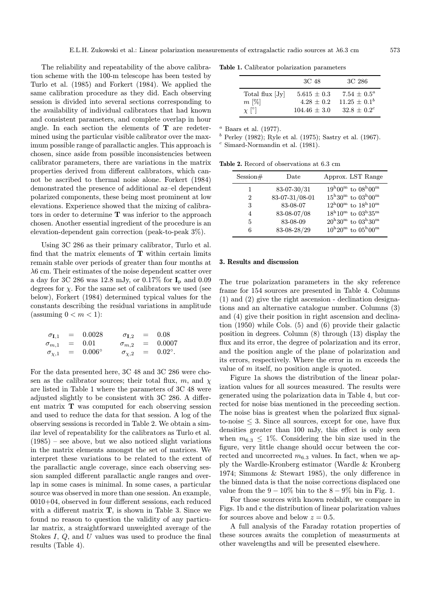The reliability and repeatability of the above calibration scheme with the 100-m telescope has been tested by Turlo et al. (1985) and Forkert (1984). We applied the same calibration procedure as they did. Each observing session is divided into several sections corresponding to the availability of individual calibrators that had known and consistent parameters, and complete overlap in hour angle. In each section the elements of  $T$  are redetermined using the particular visible calibrator over the maximum possible range of parallactic angles. This approach is chosen, since aside from possible inconsistencies between calibrator parameters, there are variations in the matrix properties derived from different calibrators, which cannot be ascribed to thermal noise alone. Forkert (1984) demonstrated the presence of additional az–el dependent polarized components, these being most prominent at low elevations. Experience showed that the mixing of calibrators in order to determine T was inferior to the approach chosen. Another essential ingredient of the procedure is an elevation-dependent gain correction (peak-to-peak 3%).

Using 3C 286 as their primary calibrator, Turlo et al. find that the matrix elements of  $T$  within certain limits remain stable over periods of greater than four months at λ6 cm. Their estimates of the noise dependent scatter over a day for 3C 286 was 12.8 mJy, or 0.17% for  $I_p$  and 0.09 degrees for  $\chi$ . For the same set of calibrators we used (see below), Forkert (1984) determined typical values for the constants describing the residual variations in amplitude (assuming  $0 < m < 1$ ):

| $\sigma_{{\bf I}.1}$ | $=$     | 0.0028          | $\sigma_{\mathbf{I}.2}$ |     | $= 0.08$         |
|----------------------|---------|-----------------|-------------------------|-----|------------------|
| $\sigma_{m,1}$       | $=$ $-$ | 0.01            | $\sigma_{m,2}$          | $=$ | 0.0007           |
| $\sigma_{\chi,1}$    | $=$     | $0.006^{\circ}$ | $\sigma_{\chi,2}$       | $=$ | $0.02^{\circ}$ . |

For the data presented here, 3C 48 and 3C 286 were chosen as the calibrator sources; their total flux, m, and  $\chi$ are listed in Table 1 where the parameters of 3C 48 were adjusted slightly to be consistent with 3C 286. A different matrix T was computed for each observing session and used to reduce the data for that session. A log of the observing sessions is recorded in Table 2. We obtain a similar level of repeatability for the calibrators as Turlo et al.  $(1985)$  – see above, but we also noticed slight variations in the matrix elements amongst the set of matrices. We interpret these variations to be related to the extent of the parallactic angle coverage, since each observing session sampled different parallactic angle ranges and overlap in some cases is minimal. In some cases, a particular source was observed in more than one session. An example, 0010+04, observed in four different sessions, each reduced with a different matrix **T**, is shown in Table 3. Since we found no reason to question the validity of any particular matrix, a straightforward unweighted average of the Stokes I, Q, and U values was used to produce the final results (Table 4).

Table 1. Calibrator polarization parameters

|                 | 3C 48           | 3C 286            |
|-----------------|-----------------|-------------------|
| Total flux [Jy] | $5.615 \pm 0.3$ | $7.54 \pm 0.5^a$  |
| $m \, [\%]$     | $4.28 + 0.2$    | $11.25 \pm 0.1^b$ |
| $\chi$ [°]      | $104.46 + 3.0$  | $32.8 + 0.2^c$    |

<sup>a</sup> Baars et al. (1977).<br><sup>b</sup> Perley (1982): Byle

<sup>b</sup> Perley (1982); Ryle et al. (1975); Sastry et al. (1967).

 $\textdegree$  Simard-Normandin et al. (1981).

Table 2. Record of observations at 6.3 cm

| Session# | Date           | Approx. LST Range                                  |
|----------|----------------|----------------------------------------------------|
| 1        | 83-07-30/31    | $19^{\rm h}00^{\rm m}$ to $08^{\rm h}00^{\rm m}$   |
| 2        | 83-07-31/08-01 | $15^{\rm h}30^{\rm m}$ to $03^{\rm h}00^{\rm m}$   |
| 3        | 83-08-07       | $12^{\rm h}00^{\rm m}$ to $18^{\rm h}10^{\rm m}$   |
| 4        | 83-08-07/08    | $18^{\rm h}10^{\rm m}$ to $03^{\rm h}35^{\rm m}$   |
| 5        | 83-08-09       | $20^{\rm h}30^{\rm m}$ to $03^{\rm h}30^{\rm m}$   |
| 6        | 83-08-28/29    | $10^{\rm h} 20^{\rm m}$ to $05^{\rm h} 00^{\rm m}$ |

### 3. Results and discussion

The true polarization parameters in the sky reference frame for 154 sources are presented in Table 4. Columns (1) and (2) give the right ascension - declination designations and an alternative catalogue number. Columns (3) and (4) give their position in right ascension and declination (1950) while Cols. (5) and (6) provide their galactic position in degrees. Column (8) through (13) display the flux and its error, the degree of polarization and its error, and the position angle of the plane of polarization and its errors, respectively. Where the error in m exceeds the value of m itself, no position angle is quoted.

Figure 1a shows the distribution of the linear polarization values for all sources measured. The results were generated using the polarization data in Table 4, but corrected for noise bias mentioned in the preceeding section. The noise bias is greatest when the polarized flux signalto-noise  $\leq$  3. Since all sources, except for one, have flux densities greater than 100 mJy, this effect is only seen when  $m_{6,3} \leq 1\%$ . Considering the bin size used in the figure, very little change should occur between the corrected and uncorrected  $m_{6.3}$  values. In fact, when we apply the Wardle-Kronberg estimator (Wardle & Kronberg 1974; Simmons & Stewart 1985), the only difference in the binned data is that the noise corrections displaced one value from the  $9 - 10\%$  bin to the  $8 - 9\%$  bin in Fig. 1.

For those sources with known redshift, we compare in Figs. 1b and c the distribution of linear polarization values for sources above and below  $z = 0.5$ .

A full analysis of the Faraday rotation properties of these sources awaits the completion of measurments at other wavelengths and will be presented elsewhere.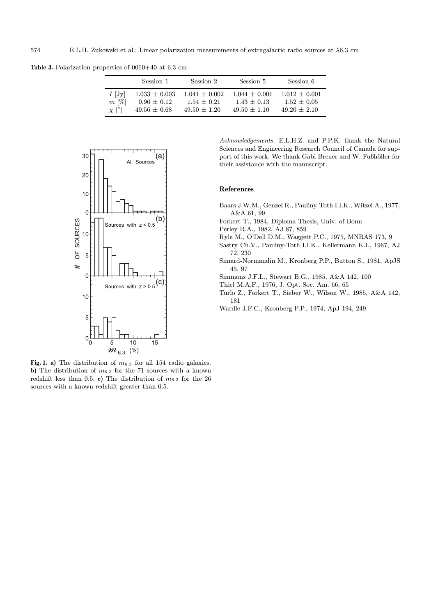Table 3. Polarization properties of 0010+40 at 6.3 cm

|            | Session 1         | Session 2       | Session 5       | Session 6       |
|------------|-------------------|-----------------|-----------------|-----------------|
| $I$  Jy    | $1.033 \pm 0.003$ | $1.041 + 0.002$ | $1.044 + 0.001$ | $1.012 + 0.001$ |
| $m$ [%]    | $0.96 \pm 0.12$   | $1.54 + 0.21$   | $1.43 + 0.13$   | $1.52 + 0.05$   |
| $\chi$ [°] | $49.56 \pm 0.68$  | $49.50 + 1.20$  | $49.50 + 1.10$  | $49.20 + 2.10$  |



Fig. 1. a) The distribution of  $m_{6.3}$  for all 154 radio galaxies. b) The distribution of  $m_{6.3}$  for the 71 sources with a known redshift less than 0.5. c) The distribution of  $m_{6.3}$  for the 26 sources with a known redshift greater than 0.5.

Acknowledgements. E.L.H.Z. and P.P.K. thank the Natural Sciences and Engineering Research Council of Canada for support of this work. We thank Gabi Breuer and W. Fußhöller for their assistance with the manuscript.

## References

- Baars J.W.M., Genzel R., Pauliny-Toth I.I.K., Witzel A., 1977, A&A 61, 99
- Forkert T., 1984, Diploma Thesis, Univ. of Bonn
- Perley R.A., 1982, AJ 87, 859
- Ryle M., O'Dell D.M., Waggett P.C., 1975, MNRAS 173, 9
- Sastry Ch.V., Pauliny-Toth I.I.K., Kellermann K.I., 1967, AJ 72, 230
- Simard-Normandin M., Kronberg P.P., Button S., 1981, ApJS 45, 97
- Simmons J.F.L., Stewart B.G., 1985, A&A 142, 100
- Thiel M.A.F., 1976, J. Opt. Soc. Am. 66, 65
- Turlo Z., Forkert T., Sieber W., Wilson W., 1985, A&A 142, 181
- Wardle J.F.C., Kronberg P.P., 1974, ApJ 194, 249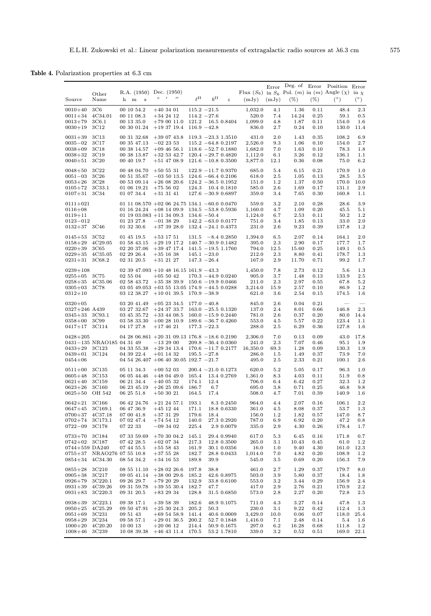Table 4. Polarization properties at 6.3 cm

| Source                                                                                 | Other<br>Name                                                                                | h m<br>s                                                                       | R.A. (1950) Dec. (1950)<br>$^{\prime\prime}$<br>$\circ$ /                                                                                                 | $\rho$ II                                          | $h^{\rm II}$<br>$\overline{z}$                                                                                           | (mJy)                                    | (mJy)                                                                                | Error Deg. of Error Position Error<br>Flux $(S_6)$ in $S_6$ Pol. $(m)$ in $(m)$ Angle $(\chi)$ in $\chi$<br>$(\%)$ | $(\% )$                                      | $(^\circ)$                                      | $(^\circ)$                                  |
|----------------------------------------------------------------------------------------|----------------------------------------------------------------------------------------------|--------------------------------------------------------------------------------|-----------------------------------------------------------------------------------------------------------------------------------------------------------|----------------------------------------------------|--------------------------------------------------------------------------------------------------------------------------|------------------------------------------|--------------------------------------------------------------------------------------|--------------------------------------------------------------------------------------------------------------------|----------------------------------------------|-------------------------------------------------|---------------------------------------------|
| $0010 + 40$<br>$0011 + 34$<br>$0013 + 79$<br>$0030 + 19$                               | 3C6<br>4C34.01<br>3C6.1<br>3C12                                                              | 00 10 54.2<br>00 11 08.3<br>00 13 35.0<br>00 30 01.24                          | $+403401$<br>$+342412$<br>$+790011.0$<br>$+193719.4$                                                                                                      | 121.2                                              | $115.2 -21.5$<br>$114.2 -27.6$<br>16.5 0.8404<br>$116.9 - 42.8$                                                          | 1,032.0<br>1,099.0                       | 4.1<br>520.0<br>7.4<br>4.8<br>836.0<br>2.7                                           | 1.36<br>14.24<br>1.87<br>0.24                                                                                      | 0.11<br>0.25<br>0.11<br>0.10                 | 48.4<br>59.1<br>154.0<br>130.0                  | 2.3<br>0.5<br>1.6<br>11.4                   |
| $0031 + 39$<br>$0035 - 02$<br>$0038 + 09$<br>$0038 + 32$<br>$0040 + 51$                | 3C13<br>3C17<br>3C18<br>3C <sub>19</sub><br>3C <sub>20</sub>                                 | 00 31 32.68<br>00 35 47.13<br>00 38 14.57<br>00 38 13.87<br>00 40 19.7         | $+390743.8$<br>$-02$ 23 53<br>$+09$ 46 56.1<br>$+32$ 53 42.7<br>$+51$ 47 08.9                                                                             |                                                    | $119.3 - 23.3$ 1.3510<br>$115.2 -64.8$ 0.2197<br>$118.6 - 52.7 0.1880$<br>$120.4 - 29.7 0.4820$<br>$121.6 - 10.8$ 0.3500 | 2,526.0<br>1,682.0<br>1,112.0<br>3,877.0 | 2.0<br>431.0<br>9.3<br>6.1<br>12.1                                                   | 1.43<br>1.06<br>7.0<br>1.63<br>3.26<br>0.36                                                                        | 0.35<br>0.10<br>0.10<br>0.12<br>0.08         | 108.2<br>154.0<br>78.3<br>136.1<br>75.0         | 6.9<br>2.7<br>1.8<br>1.1<br>6.2             |
| $0048 + 50$<br>$0051 - 03$<br>$0053 + 26$<br>$0105 + 72$<br>$0107 + 31$                | 3C22<br>3C <sub>26</sub><br>3C <sub>28</sub><br>3C33.1<br>3C34                               | 00 48 04.70<br>00 51 35.67<br>00 53 09.14<br>01 06 19.21<br>01 07 34.4         | $+50531$<br>$-035013.5$<br>$+26$ 08 20.6<br>$+755602$<br>$+31$ 31 41                                                                                      | 124.3                                              | $122.9 - 11.7 0.9370$<br>$124.6 - 66.4$ 0.2106<br>$124.2 - 36.5 0.1952$<br>10.4 0.1810<br>$127.6 - 30.9 0.6897$          |                                          | 685.0<br>5.4<br>618.0<br>2.5<br>151.0<br>1.2<br>585.0<br>2.6<br>359.0                | 6.15<br>1.05<br>1.37<br>1.69<br>3.4<br>7.65                                                                        | 0.21<br>0.13<br>0.50<br>0.17<br>0.30         | 170.9<br>28.5<br>170.0<br>131.1<br>160.8        | 1.0<br>3.5<br>10.0<br>2.9<br>1.1            |
| $0111 + 021$<br>$0116 + 08$<br>$0119 + 11$<br>$0123 - 012$<br>$0132 + 37$ 3C46         |                                                                                              | 01 16 24.24<br>01 23 27.8<br>01 32 30.6                                        | 01 11 08.570 + 02 06 24.75 134.1 - 60.0 0.0470<br>$+08$ 14 09.9<br>01 19 03 083 $+11$ 34 09.3<br>$-013829$<br>$+373928.0$                                 |                                                    | $134.5 - 53.8$ 0.5936<br>$134.6 - 50.4$<br>$142.2 - 63.0 0.0177$<br>$132.4 - 24.1$ 0.4373                                | 1,160.0<br>1,124.0                       | 3.2<br>559.0<br>6.7<br>751.0<br>3.4<br>231.0<br>2.6                                  | 2.10<br>4.7<br>1.09<br>2.53<br>1.85<br>9.23                                                                        | 0.28<br>0.20<br>0.11<br>0.13<br>0.39         | 28.6<br>45.5<br>50.2<br>33.0<br>137.8           | 3.9<br>5.1<br>1.2<br>2.0<br>1.2             |
| $0145 + 53$<br>$0158 + 29$<br>$0220 + 39$<br>$0229 + 35$<br>$0231 + 31$                | 3C52<br>4C29.05<br>3C65<br>4C35.05<br>3C68.2                                                 | 01 45 19.5<br>01 58 43.15<br>02 20 37.06<br>02 29 26.4<br>02 31 20.5           | $+53$ 17 51<br>$+29$ 19 17.2<br>$+39$ 47 17.4 141.5 $-19.5$ 1.1760<br>$+35$ 16 38<br>$+31$ 21 27                                                          | 131.5                                              | $-8.4$ 0.2850<br>$140.7 - 30.9 0.1482$<br>$145.1 - 23.0$<br>$147.3 - 26.4$                                               | 1,394.0                                  | 6.5<br>395.0<br>2.3<br>794.0<br>12.5<br>212.0<br>2.3<br>167.0<br>2.9                 | 2.07<br>2.90<br>15.60<br>8.80<br>11.70                                                                             | 0.14<br>0.17<br>0.25<br>0.41<br>0.71         | 164.1<br>177.7<br>149.1<br>178.7<br>99.2        | 2.0<br>1.7<br>0.5<br>1.3<br>1.7             |
| $0239 + 108$<br>$0255 + 05$<br>$0258 + 35$<br>$0305 + 03$<br>$0312 + 10$               | 3C75<br>4C35.06<br>3C78                                                                      | 02 55 04<br>02 58 43.72<br>03 12 38.27                                         | 02 39 47.093 + 10 48 16.15 161.9 $-43.3$<br>$+055042$<br>$+353839.9$ 150.6 -19.9 0.0466<br>03 05 49.053 + 03 55 13.05 174.9 $-44.5$ 0.0288<br>$+100139.5$ |                                                    | $170.3 -44.9 0.0240$<br>$170.9 - 38.9$                                                                                   | 1,450.0<br>3,214.0                       | 7.8<br>905.0<br>3.7<br>211.0<br>2.3<br>15.9<br>621.0<br>3.6                          | 2.73<br>1.48<br>2.97<br>2.57<br>2.54                                                                               | 0.12<br>0.13<br>0.55<br>0.10<br>0.15         | 5.6<br>133.9<br>67.8<br>86.9<br>174.5           | 1.3<br>2.5<br>5.2<br>1.2<br>1.6             |
| $0320 + 05$<br>$0327+246$ A439<br>$0345 + 33$<br>$0358 + 00$<br>$0417 + 17$            | 3C93.1<br>3C99<br>3C114                                                                      | 03 20 41.49<br>03 27 32.67<br>03 45 35.72<br>03 58 33.30<br>04 17 27.8         | $+05$ 23 34.5<br>$+24$ 37 33.7<br>$+33$ 44 08.5<br>$+002810.9$<br>$+17$ 46 21                                                                             |                                                    | $177.0 - 40.8$<br>$163.0 - 25.5 0.1320$<br>$160.0 - 15.9 0.2440$<br>$189.6 - 36.7 0.4260$<br>$177.3 - 22.3$              |                                          | 845.0<br>2.6<br>137.0<br>2.4<br>781.0<br>2.6<br>553.0<br>4.5<br>288.0<br>2.5         | 0.04<br>8.01<br>0.37<br>5.57<br>6.29                                                                               | 0.21<br>0.66<br>0.20<br>0.22<br>0.36         | 146.8<br>80.0<br>123.4<br>127.8                 | 2.3<br>14.4<br>1.1<br>1.6                   |
| $0428 + 205$<br>$0433 + 29$<br>$0439 + 01$<br>$0454 + 06$                              | 0431-135 NRAO185 04 31 49<br>3C123<br>3C124                                                  | 04 33 55.38<br>04 39 22.4                                                      | 04 28 06.861 + 20 31 09.13 176.8 - 18.6 0.2190<br>$-132900$<br>$+29$ 34 13.4 170.6 $-11.7$ 0.2177<br>$+01$ 14 32<br>04 54 26.407 +06 40 30.05 192.7 -21.7 |                                                    | $209.8 - 36.4 0.0360$<br>$195.5 - 27.8$                                                                                  | 2,306.0<br>16,350.0                      | 7.0<br>241.0<br>2.3<br>69.3<br>286.0<br>1.5<br>495.0<br>2.5                          | 0.13<br>7.07<br>1.28<br>1.49<br>2.33                                                                               | 0.09<br>0.46<br>0.09<br>0.37<br>0.21         | 43.0<br>95.1<br>130.3<br>73.9<br>100.1          | 17.8<br>1.9<br>1.9<br>7.0<br>2.6            |
| $0511 + 00$<br>$0605 + 48$<br>$0621 + 40$<br>$0623 + 26$<br>$0625 + 50$                | 3C135<br>3C <sub>153</sub><br>3C159<br>3C160<br>OH 542                                       | 05 11 34.3<br>06 05 44.46<br>06 21 34.4<br>06 23 45.19<br>06 25 51.8           | $+005203$<br>$+480449.0$<br>$+40$ 05 32<br>$+262509.6$<br>$+503021$                                                                                       | 165.4<br>174.1<br>186.7<br>164.5                   | $200.4 - 21.0 0.1273$<br>13.4 0.2769<br>12.4<br>6.7<br>17.4                                                              | 1,361.0                                  | 620.0<br>5.2<br>8.3<br>706.0<br>6.4<br>695.0<br>$3.8\,$<br>508.0<br>4.7              | 5.05<br>4.03<br>6.42<br>0.71<br>7.01                                                                               | 0.17<br>0.11<br>0.27<br>0.25<br>0.39         | 96.3<br>51.9<br>32.3<br>46.8<br>140.9           | 1.0<br>0.8<br>1.2<br>9.8<br>1.6             |
| $0642 + 21$<br>$0647 + 45$<br>$0700 + 37$<br>$0702 + 74$<br>$0722 - 09$                | 3C166<br>3C169.1<br>4C37.18<br>3C173.1<br>3C178                                              | 06 42 24.76<br>06 47 36.9<br>07 00 41.8<br>07 02 47.4<br>07 22 33              | $+21\;24\;57.1$<br>$+45$ 12 44<br>$+373129$<br>$+745412$<br>$-09$ 34 02                                                                                   | 193.1<br>171.1<br>179.6<br>140.0<br>225.4          | 8.3 0.2450<br>18.8 0.6330<br>18.4<br>27.3 0.2920<br>2.9 0.0079                                                           |                                          | 964.0<br>4.4<br>361.0<br>4.5<br>156.0<br>1.2<br>787.0<br>6.9<br>335.0<br>2.9         | 2.07<br>8.08<br>1.82<br>6.92<br>4.30                                                                               | 0.16<br>0.37<br>0.57<br>0.20<br>0.26         | 106.1<br>53.7<br>147.0<br>47.2<br>178.4         | 2.2<br>1.3<br>8.7<br>0.8<br>1.7             |
| $0733 + 70$<br>$0742 + 02$<br>0744+559 DA240<br>$0755 + 37$<br>$0854 + 34$             | 3C184<br>3C187<br>4C34.30                                                                    | 07 33 59.69<br>07 42 28.5<br>07 44 55.5<br>NRAO276 07 55 10.8<br>08 54 34.2    | $+703004.2$<br>$+020734$<br>$+555343$<br>$+37528$<br>$+34$ 16 53                                                                                          | 145.1<br>217.3<br>161.9<br>182.7<br>189.8          | 29.4 0.9940<br>12.8 0.3500<br>30.1 0.0356<br>28.8 0.0433<br>39.9                                                         | 1,014.0                                  | 617.0<br>5.3<br>265.0<br>3.1<br>16.0<br>1.0<br>7.0<br>545.0<br>$3.5\,$               | 6.45<br>10.43<br>9.40<br>4.82<br>0.69                                                                              | 0.16<br>0.45<br>4.30<br>0.20<br>0.20         | 171.8<br>61.0<br>161.0<br>108.9<br>156.3        | 0.7<br>1.2<br>12.3<br>1.2<br>7.9            |
| $0855 + 28$<br>$0905 + 38$<br>$0926 + 79$<br>$0931 + 39$<br>$0931 + 83$                | 3C <sub>210</sub><br>3C217<br>3C220.1<br>4C39.26<br>3C220.3                                  | 08 55 11.10<br>09 05 41.14<br>09 26 29.7<br>09 31 59.78<br>09 31 20.5          | $+280226.6$<br>$+380029.6$<br>$+792029$<br>$+39\;55\;30.4$<br>$+83\ 29\ 34$                                                                               | 197.8<br>185.2<br>132.9<br>182.7<br>128.8          | 38.8<br>42.6 0.8975<br>33.8 0.6100<br>47.7<br>31.5 0.6850                                                                |                                          | 461.0<br>$2.7\,$<br>503.0<br>3.9<br>553.0<br>$3.2\,$<br>417.0<br>2.9<br>573.0<br>2.8 | 1.29<br>5.80<br>3.44<br>2.76<br>2.27                                                                               | 0.37<br>0.37<br>0.29<br>0.21<br>0.20         | 179.7<br>18.4<br>156.9<br>170.9<br>72.8         | 8.0<br>1.8<br>$2.4\,$<br>$2.2\,$<br>$2.5\,$ |
| $0938 + 39$<br>$0950 + 25$<br>$0951 + 69$<br>$0958 + 29$<br>$1000 + 20$<br>$1008 + 46$ | 3C223.1<br>4C <sub>25.29</sub><br>3C231<br>3C <sub>234</sub><br>4C20.20<br>3C <sub>239</sub> | 09 38 17.1<br>09 50 47.91<br>09 51 43<br>09 58 57.1<br>10 00 13<br>10 08 39.38 | $+395839$<br>$+253024.3$<br>$+695458.9$<br>$+290136.5$<br>$+200612$<br>$+46$ 43 11.4                                                                      | 182.6<br>205.2<br>141.4<br>200.2<br>214.4<br>170.5 | 48.9 0.1075<br>50.3<br>40.6 0.0009<br>52.7 0.1848<br>50.9 0.1675<br>53.2 1.7810                                          | 3,429.0<br>1,416.0                       | 711.0<br>4.3<br>230.0<br>3.1<br>10.0<br>7.1<br>297.0<br>6.2<br>339.0<br>$3.2\,$      | 3.27<br>9.22<br>0.06<br>2.48<br>16.28<br>0.52                                                                      | 0.14<br>0.42<br>0.07<br>0.14<br>0.68<br>0.51 | 47.8<br>112.4<br>118.0<br>5.4<br>111.8<br>169.0 | 1.3<br>1.3<br>25.4<br>1.6<br>1.2<br>22.1    |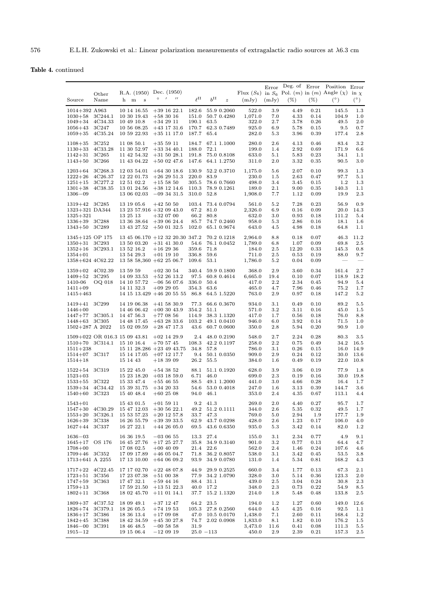Table 4. continued

| Source                                                                                 | Other<br>Name                                              | h m                                                                | R.A. (1950) Dec. (1950)<br>$\bf s$                       | $\circ$ | $\overline{\phantom{a}}$<br>$^{\prime\prime}$                                                                   | $\ell$ <sup>II</sup>                                  | $h^{\rm II}$         | $\boldsymbol{z}$                                         | (mJy)                                                    | Error<br>(mJy)                          | $(\% )$                                      | $(\%)$                                       | Deg. of Error Position Error<br>Flux (S <sub>6</sub> ) in S <sub>6</sub> Pol. (m) in (m) Angle ( $\chi$ ) in $\chi$<br>$(^\circ)$ | $(^\circ)$                                   |
|----------------------------------------------------------------------------------------|------------------------------------------------------------|--------------------------------------------------------------------|----------------------------------------------------------|---------|-----------------------------------------------------------------------------------------------------------------|-------------------------------------------------------|----------------------|----------------------------------------------------------|----------------------------------------------------------|-----------------------------------------|----------------------------------------------|----------------------------------------------|-----------------------------------------------------------------------------------------------------------------------------------|----------------------------------------------|
| 1014+392 A963<br>$1030 + 58$<br>$1049 + 34$<br>$1056 + 43$<br>$1059 + 35$              | 3C244.1<br>4C34.33<br>3C <sub>247</sub><br>4C35.24         | 10 49 10.8                                                         | 10 14 16.55<br>10 30 19.43<br>10 56 08.25<br>10 59 22.93 |         | $+39$ 16 22.1<br>$+583016$<br>$+342911$<br>$+43$ 17 31.6<br>$+35$ 11 17.0                                       | 182.6<br>151.0<br>190.1<br>170.7<br>187.7             | 63.5<br>65.4         | 55.9 0.2060<br>50.7 0.4280<br>62.3 0.7489                | 522.0<br>1,071.0<br>322.0<br>925.0<br>282.0              | 3.9<br>7.0<br>2.7<br>6.9<br>5.3         | 4.49<br>4.33<br>3.78<br>5.78<br>3.96         | 0.21<br>0.14<br>0.26<br>0.15<br>0.39         | 145.5<br>104.9<br>49.5<br>$9.5\,$<br>177.4                                                                                        | 1.3<br>1.0<br>2.0<br>0.7<br>2.8              |
| $1108 + 35$<br>$1130 + 33$<br>$1142 + 31$<br>$1143 + 50$                               | 3C252<br>4C33.28<br>3C <sub>265</sub><br>3C <sub>266</sub> | 11 08 50.1<br>11 30 52.97                                          | 11 42 54.32<br>11 43 04.22                               |         | $+355911$<br>$+33$ 34 40.1<br>$+31$ 50 28.1<br>$+50$ 02 47.6                                                    | 184.7<br>188.0<br>191.8<br>147.6                      | 72.1                 | 67.1 1.1000<br>75.0 0.8108<br>64.1 1.2750                | 280.0<br>199.0<br>633.0<br>311.0                         | $_{2.6}$<br>1.4<br>5.1<br>2.0           | 4.13<br>2.92<br>5.83<br>3.32                 | 0.46<br>0.69<br>0.23<br>0.35                 | 83.4<br>171.9<br>34.1<br>90.5                                                                                                     | 3.2<br>6.6<br>1.1<br>3.0                     |
| $1203 + 64$<br>$1222 + 26$<br>$1251 + 15$<br>$1301 + 38$<br>$1306 - 09$                | 3C268.3<br>4C26.37<br>3C277.2<br>4C38.35                   | 12 03 54.01<br>12 51 02.2                                          | 12 22 01.73<br>13 01 24.56<br>13 06 02.03                |         | $+64$ 30 18.6<br>$+262951.3$<br>$+155850$<br>$+38$ 12 14.6<br>$-093431.5$                                       | 130.9<br>220.0<br>305.5<br>110.3<br>310.0             | 83.9<br>52.8         | 52.2 0.3710<br>78.6 0.7660<br>78.9 0.1261                | 1,175.0<br>230.0<br>498.0<br>189.0<br>1,908.0            | 5.6<br>$1.5\,$<br>3.4<br>$2.1\,$<br>7.7 | 2.07<br>2.63<br>3.45<br>9.00<br>1.12         | 0.10<br>0.47<br>0.15<br>0.35<br>0.09         | 99.3<br>97.7<br>1.2<br>140.3<br>19.9                                                                                              | 1.3<br>5.1<br>1.3<br>1.1<br>2.3              |
| 1319+42 3C285<br>1323+321 DA344<br>$1325 + 321$<br>1336+39 3C288<br>$1343 + 50$        | 3C289                                                      | 13 19 05.6<br>13 25 13                                             | 13 36 38.64<br>13 43 27.52                               |         | $+425050$<br>$13\ 23\ 57.916\ +32\ 09\ 43.0$<br>$+320700$<br>$+390624.4$<br>$+50$ 01 32.5                       | 103.4<br>67.2 81.0<br>66.2<br>85.7<br>102.0           | 80.8                 | 73.4 0.0794<br>74.7 0.2460<br>65.1 0.9674                | 561.0<br>2,326.0<br>632.0<br>958.0<br>643.0              | 5.2<br>6.9<br>3.0<br>5.3<br>4.5         | 7.28<br>0.16<br>0.93<br>2.86<br>4.98         | 0.23<br>0.09<br>0.18<br>0.16<br>0.18         | 56.9<br>20.0<br>111.2<br>18.1<br>64.8                                                                                             | 0.9<br>14.3<br>5.4<br>1.6<br>1.1             |
| $1345+125$ OP 175<br>$1350 + 31$<br>$1352 + 16$<br>$1354 + 01$<br>1358+624 4C62.22     | 3C293<br>3C293.1                                           | 13 52 16.2<br>13 54 29.3                                           | 13 50 03.20                                              |         | 13 45 06.170 +12 32 20.30 347.2<br>$+31$ 41 30.0<br>$+162936$<br>$+01$ 19 10<br>$13\;58\;58,360\;+62\;25\;06.7$ | 54.6<br>359.6<br>336.8<br>109.6                       | 71.8<br>59.6<br>53.1 | 70.2 0.1218<br>76.1 0.0452                               | 2,964.0<br>1,789.0<br>184.0<br>711.0<br>1,786.0          | 8.8<br>6.8<br>$2.5\,$<br>$2.5\,$<br>5.2 | 0.18<br>1.07<br>12.20<br>0.53<br>0.04        | 0.07<br>0.09<br>0.33<br>0.19<br>0.09         | 46.3<br>69.8<br>145.3<br>88.0<br>$\hspace{0.1mm}-\hspace{0.1mm}$                                                                  | 11.2<br>$2.5\,$<br>0.8<br>9.7                |
| 1359+02 4C02.39<br>$1409 + 52$<br>1410-06<br>$1411 + 09$<br>$1415 + 463$               | 3C <sub>295</sub><br>OQ 018                                | 13 59 59<br>14 11 32.3                                             | 14 09 33.53<br>14 10 57.72                               |         | $+02$ 30 54<br>$+52$ 26 13.2<br>$-065607.6$<br>$+092905$<br>$14$ 15 13.429 $+46$ 20 55 55                       | 340.4<br>97.5<br>336.0<br>354.3<br>86.8               | 50.4<br>63.6         | 59.9 0.1800<br>60.8 0.4614<br>64.5 1.5220                | 368.0<br>6,665.0<br>417.0<br>465.0<br>763.0              | 2.9<br>19.4<br>2.2<br>4.7<br>2.9        | 3.60<br>0.10<br>2.34<br>7.96<br>0.97         | 0.34<br>0.07<br>0.45<br>0.46<br>0.18         | 161.4<br>118.9<br>94.9<br>75.2<br>147.2                                                                                           | 2.7<br>18.2<br>5.4<br>1.7<br>5.2             |
| 1419+41 3C299<br>$1446 + 00$<br>$1447 + 77$<br>$1448 + 63$<br>$1502+287$ A 2022        | 3C305.1<br>3C305                                           | 14 47 56.3                                                         | 14 19 06.38<br>14 46 06.42<br>14 48 17.45<br>15 02 09.59 |         | $+41$ 58 30.9<br>$+00$ 30 43.9<br>$+77$ 08 56<br>$+63$ 28 33.6<br>$+28$ 47 17.3                                 | 77.3<br>354.2<br>114.9<br>103.2<br>43.6               | 51.1                 | 66.6 0.3670<br>38.3 1.1320<br>49.1 0.0410<br>60.7 0.0600 | 934.0<br>571.0<br>417.0<br>946.0<br>350.0                | $3.1\,$<br>$3.2\,$<br>1.7<br>6.0<br>2.8 | 0.49<br>3.11<br>0.56<br>3.92<br>5.94         | 0.10<br>0.16<br>0.18<br>0.14<br>0.20         | 89.2<br>45.0<br>76.0<br>71.5<br>90.9                                                                                              | 5.5<br>1.5<br>8.8<br>1.0<br>1.0              |
| $1510+70$ 3C314.1<br>$1511 + 238$<br>$1514+07$ 3C317<br>$1514 + 18$                    | 1509+022 OR 016.3 15 09 43.81                              | 15 10 16.4<br>15 14 43                                             | 15 14 17.05                                              |         | $+02$ 14 29.9<br>$+70$ 57 45<br>$15$ 11 28.286 $+23$ 49 43.75<br>$+07$ 12 17.7<br>$+183909$                     | 2.4<br>108.3<br>34.8<br>9.4<br>26.2                   | 57.8<br>55.5         | 48.0 0.2190<br>42.2 0.1197<br>50.1 0.0350                | 548.0<br>258.0<br>786.0<br>909.0<br>384.0                | 2.7<br>$2.2\,$<br>3.1<br>2.9<br>1.6     | 2.24<br>0.75<br>0.26<br>0.24<br>0.49         | 0.28<br>0.49<br>0.15<br>0.12<br>0.19         | 80.3<br>34.2<br>16.0<br>30.0<br>22.0                                                                                              | $3.5\,$<br>16.5<br>14.9<br>13.6<br>10.8      |
| $1522 + 54$<br>$1523 + 03$<br>$1533 + 55$<br>$1539 + 34$<br>$1540 + 60$                | 3C319<br>3C322<br>4C34.42<br>3C323                         | 15 22 45.0<br>15 33 47.4<br>15 39 31.75<br>15 40 48.4              | 15 23 18.20                                              |         | $+54$ 38 52<br>$+03$ 18 59.0<br>$+55\,46\,55$<br>$+342033$<br>$+602508$                                         | 88.1<br>6.71<br>88.5<br>54.6<br>94.0                  | 46.0<br>46.1         | 51.1 0.1920<br>49.1 1.2000<br>53.0 0.4018                | 628.0<br>699.0<br>441.0<br>247.0<br>353.0                | 3.9<br>2.3<br>$3.0\,$<br>1.6<br>2.4     | 3.06<br>0.19<br>4.66<br>3.13<br>4.35         | 0.19<br>0.16<br>0.28<br>0.39<br>0.67         | 77.9<br>30.0<br>16.4<br>144.7<br>113.1                                                                                            | 1.8<br>19.8<br>1.7<br>3.6<br>4.4             |
| $1543 + 01$<br>$1547 + 30$<br>$1553 + 20$<br>$1626 + 39$<br>$1627 + 44$                | 4C30.29<br>3C326.1<br>3C338<br>3C337                       | 15 43 01.5<br>16 27 22.1                                           | 15 47 12.03<br>15 53 57.23<br>16 26 55.79                |         | $+01\,59\,11$<br>$+30$ 56 22.1<br>$+20$ 12 57.8<br>$+393933.5$<br>$+44\;26\;05.0$                               | 49.2<br>33.7<br>62.9<br>69.5                          | 9.2 41.3<br>47.3     | 51.2 0.1111<br>43.7 0.0298<br>43.6 0.6350                | 269.0<br>344.0<br>769.0<br>428.0<br>935.0                | $2.0\,$<br>2.6<br>5.0<br>2.6<br>5.3     | 4.40<br>5.35<br>2.94<br>1.23<br>3.42         | 0.27<br>0.32<br>1.9<br>0.17<br>0.14          | 95.7<br>49.5<br>177.7<br>106.0<br>82.0                                                                                            | 1.7<br>1.7<br>1.9<br>4.0<br>1.2              |
| $1636 - 03$<br>$1645 + 17$<br>$1708 + 00$<br>$1709 + 46$<br>$1713 + 641$ A 2255        | OS 176<br>3C352                                            | 16 36 19.5<br>17 08 02.5                                           | 16 45 27.76<br>17 09 17.89<br>17 13 10.00                |         | $-030655$<br>$+172527.7$<br>$+00$ 40 09<br>$+46$ 05 04.7<br>$+64$ 06 09.2                                       | 13.3<br>35.8<br>21.4<br>71.8<br>93.9                  | 27.4<br>22.6         | 34.9 0.3140<br>36.2 0.8057<br>34.9 0.0780                | 155.0<br>901.0<br>562.0<br>538.0<br>131.0                | 3.1<br>3.2<br>2.4<br>$3.1\,$<br>1.4     | 2.34<br>0.77<br>1.46<br>3.42<br>5.34         | 0.77<br>0.13<br>0.24<br>0.45<br>0.81         | 4.9<br>64.4<br>107.6<br>53.5<br>168.2                                                                                             | 9.1<br>4.7<br>4.6<br>3.8<br>4.3              |
| $1717 + 22$<br>$1723 + 51$<br>$1747 + 59$<br>$1759 + 13$<br>$1802 + 11$                | 4C22.45<br>3C356<br>3C363<br>3C368                         | 17 17 02.70<br>17 47 32.1                                          | 17 23 07.38<br>17 59 21.50<br>18 02 45.70                |         | $+22$ 48 07.8<br>$+510038$<br>$+59$ 44 16<br>$+13\;51\;22.3$<br>$+11$ 01 14.1                                   | 44.9<br>77.9<br>88.4<br>40.0<br>37.7                  | 31.1<br>17.2         | 29.9 0.2525<br>34.2 1.0790<br>15.2 1.1320                | 660.0<br>328.0<br>439.0<br>348.0<br>214.0                | 3.4<br>3.0<br>$2.5\,$<br>2.3<br>1.8     | 1.77<br>5.14<br>3.04<br>0.73<br>5.48         | 0.13<br>0.36<br>0.24<br>0.22<br>0.48         | 67.3<br>123.3<br>30.8<br>54.9<br>133.8                                                                                            | 2.1<br>$2.0\,$<br>2.3<br>8.5<br>$2.5\,$      |
| $1809 + 37$<br>$1826 + 74$<br>$1836 + 17$<br>$1842 + 45$<br>$1846 - 00$<br>$1915 - 12$ | 4C37.52<br>3C379.1<br>3C386<br>3C388<br>3C391              | 18 09 49.1<br>18 26 05.5<br>18 36 13.4<br>18 46 48.5<br>19 15 06.4 | 18 42 34.59                                              |         | $+37$ 12 47<br>$+74$ 19 53<br>$+170908$<br>$+45$ 30 27.8<br>$-00$ 58 58<br>$-120919$                            | 64.2<br>105.3<br>47.0<br>74.7<br>31.9<br>$25.0 - 113$ | 23.5                 | 27.8 0.2560<br>10.5 0.0170<br>2.02 0.0908                | 194.0<br>644.0<br>1,438.0<br>1,833.0<br>3,473.0<br>450.0 | 1.2<br>4.5<br>7.1<br>8.1<br>11.6<br>2.9 | 1.27<br>4.25<br>2.60<br>1.82<br>0.41<br>2.39 | 0.60<br>0.16<br>0.11<br>0.10<br>0.08<br>0.21 | 149.0<br>92.5<br>168.4<br>176.2<br>111.3<br>157.3                                                                                 | 12.6<br>1.1<br>1.2<br>1.5<br>5.5<br>$_{2.5}$ |